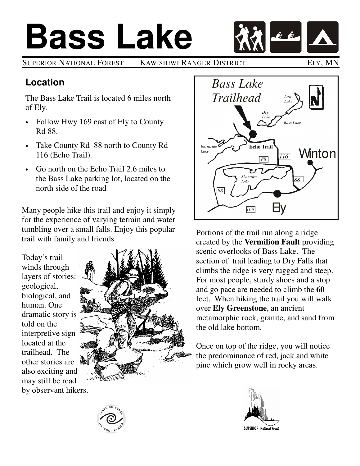# **Bass Lake**

SUPERIOR NATIONAL FOREST KAWISHIWI RANGER DISTRICT ELY, MN

### **Location**

The Bass Lake Trail is located 6 miles north of Ely.

- Follow Hwy 169 east of Ely to County Rd 88.
- Take County Rd 88 north to County Rd 116 (Echo Trail).
- Go north on the Echo Trail 2.6 miles to the Bass Lake parking lot, located on the north side of the road.

Many people hike this trail and enjoy it simply for the experience of varying terrain and water tumbling over a small falls. Enjoy this popular trail with family and friends

Today's trail winds through layers of stories: geological, biological, and human. One dramatic story is told on the interpretive sign located at the trailhead. The other stories are also exciting and may still be read by observant hikers.





Portions of the trail run along a ridge created by the **Vermilion Fault** providing scenic overlooks of Bass Lake. The section of trail leading to Dry Falls that climbs the ridge is very rugged and steep. For most people, sturdy shoes and a stop and go pace are needed to climb the **60** feet. When hiking the trail you will walk over **Ely Greenstone**, an ancient metamorphic rock, granite, and sand from the old lake bottom.

Once on top of the ridge, you will notice the predominance of red, jack and white pine which grow well in rocky areas.